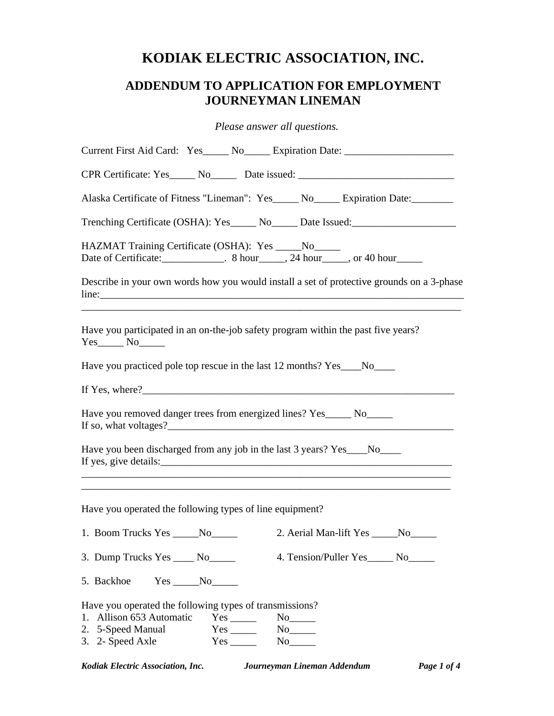# **KODIAK ELECTRIC ASSOCIATION, INC.**

## **ADDENDUM TO APPLICATION FOR EMPLOYMENT JOURNEYMAN LINEMAN**

*Please answer all questions.* 

| Current First Aid Card: Yes_____ No_____ Expiration Date: ______________________                                             |
|------------------------------------------------------------------------------------------------------------------------------|
| CPR Certificate: Yes_____ No______ Date issued: ________________________________                                             |
| Alaska Certificate of Fitness "Lineman": Yes_____ No_____ Expiration Date:_______                                            |
| Trenching Certificate (OSHA): Yes______ No______ Date Issued:____________________                                            |
| HAZMAT Training Certificate (OSHA): Yes _____No_____                                                                         |
| Describe in your own words how you would install a set of protective grounds on a 3-phase                                    |
| Have you participated in an on-the-job safety program within the past five years?<br>$Yes$ No $N$                            |
| Have you practiced pole top rescue in the last 12 months? Yes___No____                                                       |
|                                                                                                                              |
| Have you removed danger trees from energized lines? Yes_____ No____                                                          |
| Have you been discharged from any job in the last 3 years? Yes___No____                                                      |
| Have you operated the following types of line equipment?                                                                     |
|                                                                                                                              |
| 3. Dump Trucks Yes _____ No______<br>4. Tension/Puller Yes______ No______                                                    |
| 5. Backhoe<br>$Yes$ No $\_\_$                                                                                                |
| Have you operated the following types of transmissions?<br>1. Allison 653 Automatic<br>2. 5-Speed Manual<br>3. 2- Speed Axle |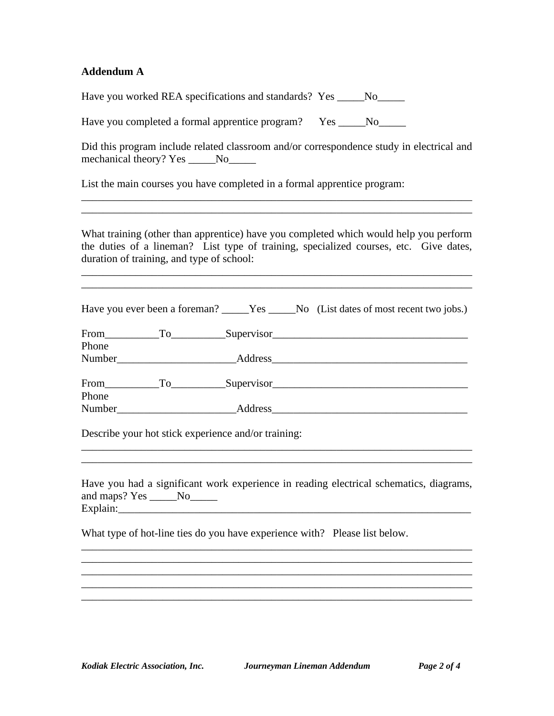### **Addendum A**

Have you worked REA specifications and standards? Yes \_\_\_\_No\_\_\_\_\_

Have you completed a formal apprentice program? Yes \_\_\_\_\_No\_\_\_\_\_\_\_\_\_\_\_\_\_\_\_\_\_\_\_\_\_

Did this program include related classroom and/or correspondence study in electrical and mechanical theory? Yes \_\_\_\_\_No\_\_\_\_\_

\_\_\_\_\_\_\_\_\_\_\_\_\_\_\_\_\_\_\_\_\_\_\_\_\_\_\_\_\_\_\_\_\_\_\_\_\_\_\_\_\_\_\_\_\_\_\_\_\_\_\_\_\_\_\_\_\_\_\_\_\_\_\_\_\_\_\_\_\_\_\_\_ \_\_\_\_\_\_\_\_\_\_\_\_\_\_\_\_\_\_\_\_\_\_\_\_\_\_\_\_\_\_\_\_\_\_\_\_\_\_\_\_\_\_\_\_\_\_\_\_\_\_\_\_\_\_\_\_\_\_\_\_\_\_\_\_\_\_\_\_\_\_\_\_

List the main courses you have completed in a formal apprentice program:

What training (other than apprentice) have you completed which would help you perform the duties of a lineman? List type of training, specialized courses, etc. Give dates, duration of training, and type of school:

\_\_\_\_\_\_\_\_\_\_\_\_\_\_\_\_\_\_\_\_\_\_\_\_\_\_\_\_\_\_\_\_\_\_\_\_\_\_\_\_\_\_\_\_\_\_\_\_\_\_\_\_\_\_\_\_\_\_\_\_\_\_\_\_\_\_\_\_\_\_\_\_

|       |                              |  | Have you ever been a foreman? _____Yes _____No (List dates of most recent two jobs.)   |
|-------|------------------------------|--|----------------------------------------------------------------------------------------|
|       |                              |  | From To Supervisor                                                                     |
| Phone |                              |  |                                                                                        |
|       |                              |  |                                                                                        |
|       |                              |  | From To Supervisor                                                                     |
| Phone |                              |  |                                                                                        |
|       |                              |  |                                                                                        |
|       | and maps? Yes ______No______ |  | Have you had a significant work experience in reading electrical schematics, diagrams, |
|       |                              |  | What type of hot-line ties do you have experience with? Please list below.             |
|       |                              |  |                                                                                        |
|       |                              |  |                                                                                        |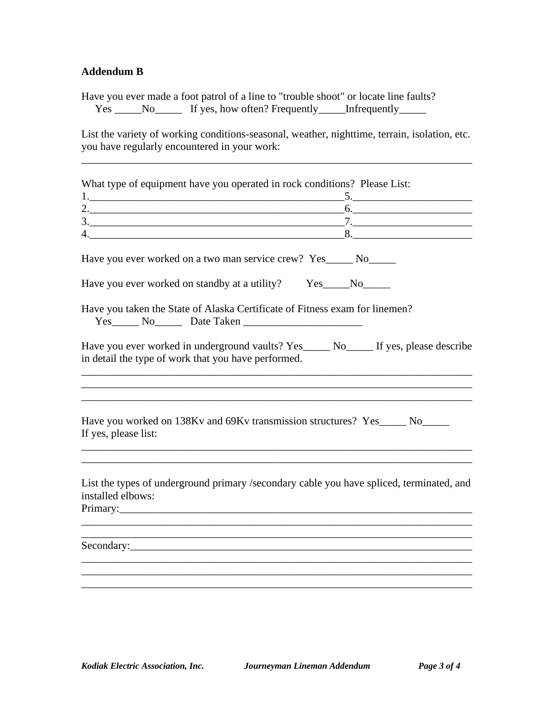### **Addendum B**

Have you ever made a foot patrol of a line to "trouble shoot" or locate line faults? Yes \_\_\_\_\_No\_\_\_\_\_\_ If yes, how often? Frequently \_\_\_\_\_\_Infrequently \_\_\_\_\_\_\_

List the variety of working conditions-seasonal, weather, nighttime, terrain, isolation, etc. you have regularly encountered in your work:

\_\_\_\_\_\_\_\_\_\_\_\_\_\_\_\_\_\_\_\_\_\_\_\_\_\_\_\_\_\_\_\_\_\_\_\_\_\_\_\_\_\_\_\_\_\_\_\_\_\_\_\_\_\_\_\_\_\_\_\_\_\_\_\_\_\_\_\_\_\_\_\_

| What type of equipment have you operated in rock conditions? Please List:                                                                                                                                                                                                                                 |
|-----------------------------------------------------------------------------------------------------------------------------------------------------------------------------------------------------------------------------------------------------------------------------------------------------------|
|                                                                                                                                                                                                                                                                                                           |
|                                                                                                                                                                                                                                                                                                           |
| $\frac{1}{2}$ . $\frac{1}{2}$ . $\frac{1}{2}$ . $\frac{1}{2}$ . $\frac{1}{2}$ . $\frac{1}{2}$ . $\frac{1}{2}$ . $\frac{1}{2}$ . $\frac{1}{2}$ . $\frac{1}{2}$ . $\frac{1}{2}$ . $\frac{1}{2}$ . $\frac{1}{2}$ . $\frac{1}{2}$ . $\frac{1}{2}$ . $\frac{1}{2}$ . $\frac{1}{2}$ . $\frac{1}{2}$ . $\frac{1$ |
| Have you ever worked on a two man service crew? Yes______ No______                                                                                                                                                                                                                                        |
| Have you ever worked on standby at a utility? Yes____No____                                                                                                                                                                                                                                               |
| Have you taken the State of Alaska Certificate of Fitness exam for linemen?                                                                                                                                                                                                                               |
| Have you ever worked in underground vaults? Yes_____ No_____ If yes, please describe<br>in detail the type of work that you have performed.                                                                                                                                                               |
| Have you worked on 138Kv and 69Kv transmission structures? Yes_____ No_____<br>If yes, please list:                                                                                                                                                                                                       |
| List the types of underground primary /secondary cable you have spliced, terminated, and<br>installed elbows:                                                                                                                                                                                             |
|                                                                                                                                                                                                                                                                                                           |
|                                                                                                                                                                                                                                                                                                           |